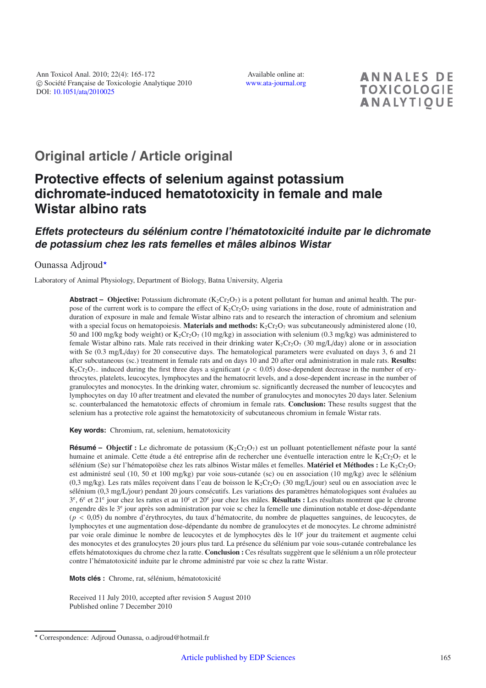Available online at: [www.ata-journal.org](http://www.ata-journal.org)

**ANNALES DE TOXICOLOGIE ANALYTIOUE** 

# **Original article / Article original**

# **Protective effects of selenium against potassium dichromate-induced hematotoxicity in female and male Wistar albino rats**

# **Effets protecteurs du sélénium contre l'hématotoxicité induite par le dichromate de potassium chez les rats femelles et mâles albinos Wistar**

# Ounassa Adjroud\*

Laboratory of Animal Physiology, Department of Biology, Batna University, Algeria

**Abstract – Objective:** Potassium dichromate  $(K_2Cr_2O_7)$  is a potent pollutant for human and animal health. The purpose of the current work is to compare the effect of  $K_2Cr_2O_7$  using variations in the dose, route of administration and duration of exposure in male and female Wistar albino rats and to research the interaction of chromium and selenium with a special focus on hematopoiesis. **Materials and methods:**  $K_2Cr_2O_7$  was subcutaneously administered alone (10, 50 and 100 mg/kg body weight) or  $K_2Cr_2O_7$  (10 mg/kg) in association with selenium (0.3 mg/kg) was administered to female Wistar albino rats. Male rats received in their drinking water  $K_2Cr_2O_7$  (30 mg/L/day) alone or in association with Se (0.3 mg/L/day) for 20 consecutive days. The hematological parameters were evaluated on days 3, 6 and 21 after subcutaneous (sc.) treatment in female rats and on days 10 and 20 after oral administration in male rats. **Results:** K<sub>2</sub>Cr<sub>2</sub>O<sub>7</sub><sup>–</sup> induced during the first three days a significant ( $p < 0.05$ ) dose-dependent decrease in the number of erythrocytes, platelets, leucocytes, lymphocytes and the hematocrit levels, and a dose-dependent increase in the number of granulocytes and monocytes. In the drinking water, chromium sc. significantly decreased the number of leucocytes and lymphocytes on day 10 after treatment and elevated the number of granulocytes and monocytes 20 days later. Selenium sc. counterbalanced the hematotoxic effects of chromium in female rats. **Conclusion:** These results suggest that the selenium has a protective role against the hematotoxicity of subcutaneous chromium in female Wistar rats.

**Key words:** Chromium, rat, selenium, hematotoxicity

**Résumé – Objectif :** Le dichromate de potassium (K<sub>2</sub>Cr<sub>2</sub>O<sub>7</sub>) est un polluant potentiellement néfaste pour la santé humaine et animale. Cette étude a été entreprise afin de rechercher une éventuelle interaction entre le  $K_2Cr_2O_7$  et le sélénium (Se) sur l'hématopoïèse chez les rats albinos Wistar mâles et femelles. Matériel et Méthodes : Le K<sub>2</sub>Cr<sub>2</sub>O<sub>7</sub> est administré seul (10, 50 et 100 mg/kg) par voie sous-cutanée (sc) ou en association (10 mg/kg) avec le sélénium (0,3 mg/kg). Les rats mâles reçoivent dans l'eau de boisson le  $K_2Cr_2O_7$  (30 mg/L/jour) seul ou en association avec le sélénium (0,3 mg/L/jour) pendant 20 jours consécutifs. Les variations des paramètres hématologiques sont évaluées au 3<sup>e</sup>, 6<sup>e</sup> et 21<sup>e</sup> jour chez les rattes et au 10<sup>e</sup> et 20<sup>e</sup> jour chez les mâles. **Résultats :** Les résultats montrent que le chrome engendre dès le 3e jour après son administration par voie sc chez la femelle une diminution notable et dose-dépendante (*p* < 0,05) du nombre d'érythrocytes, du taux d'hématocrite, du nombre de plaquettes sanguines, de leucocytes, de lymphocytes et une augmentation dose-dépendante du nombre de granulocytes et de monocytes. Le chrome administré par voie orale diminue le nombre de leucocytes et de lymphocytes dès le 10<sup>e</sup> jour du traitement et augmente celui des monocytes et des granulocytes 20 jours plus tard. La présence du sélénium par voie sous-cutanée contrebalance les effets hématotoxiques du chrome chez la ratte. **Conclusion :** Ces résultats suggèrent que le sélénium a un rôle protecteur contre l'hématotoxicité induite par le chrome administré par voie sc chez la ratte Wistar.

**Mots clés :** Chrome, rat, sélénium, hématotoxicité

Received 11 July 2010, accepted after revision 5 August 2010 Published online 7 December 2010

<sup>-</sup> Correspondence: Adjroud Ounassa, o.adjroud@hotmail.fr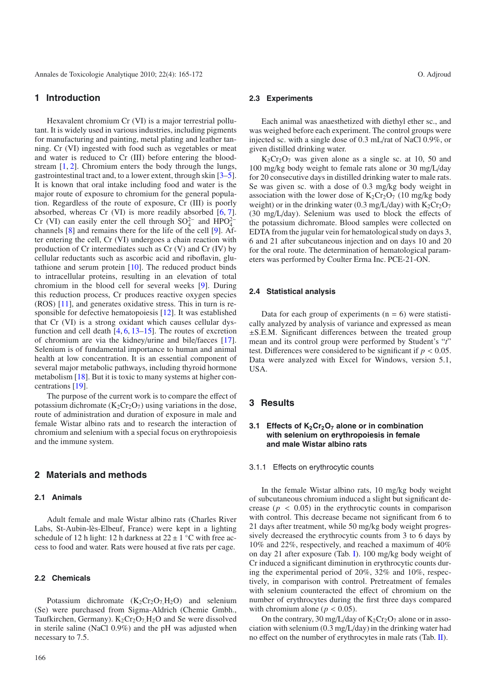# **1 Introduction**

Hexavalent chromium Cr (VI) is a major terrestrial pollutant. It is widely used in various industries, including pigments for manufacturing and painting, metal plating and leather tanning. Cr (VI) ingested with food such as vegetables or meat and water is reduced to Cr (III) before entering the bloodstream [\[1](#page-5-0), [2\]](#page-5-1). Chromium enters the body through the lungs, gastrointestinal tract and, to a lower extent, through skin [\[3](#page-5-2)[–5](#page-5-3)]. It is known that oral intake including food and water is the major route of exposure to chromium for the general population. Regardless of the route of exposure, Cr (III) is poorly absorbed, whereas Cr (VI) is more readily absorbed [\[6](#page-5-4), [7](#page-5-5)]. Cr (VI) can easily enter the cell through  $SO_4^{2-}$  and  $HPO_4^{2-}$ channels [\[8\]](#page-6-0) and remains there for the life of the cell [\[9](#page-6-1)]. After entering the cell, Cr (VI) undergoes a chain reaction with production of Cr intermediates such as Cr (V) and Cr (IV) by cellular reductants such as ascorbic acid and riboflavin, glutathione and serum protein  $[10]$ . The reduced product binds to intracellular proteins, resulting in an elevation of total chromium in the blood cell for several weeks [\[9](#page-6-1)]. During this reduction process, Cr produces reactive oxygen species (ROS) [\[11\]](#page-6-3), and generates oxidative stress. This in turn is responsible for defective hematopoiesis [\[12\]](#page-6-4). It was established that Cr (VI) is a strong oxidant which causes cellular dysfunction and cell death  $[4, 6, 13-15]$  $[4, 6, 13-15]$  $[4, 6, 13-15]$  $[4, 6, 13-15]$  $[4, 6, 13-15]$  $[4, 6, 13-15]$ . The routes of excretion of chromium are via the kidney/urine and bile/faeces [\[17](#page-6-7)]. Selenium is of fundamental importance to human and animal health at low concentration. It is an essential component of several major metabolic pathways, including thyroid hormone metabolism [\[18\]](#page-6-8). But it is toxic to many systems at higher concentrations [\[19\]](#page-6-9).

The purpose of the current work is to compare the effect of potassium dichromate  $(K_2Cr_2O_7)$  using variations in the dose, route of administration and duration of exposure in male and female Wistar albino rats and to research the interaction of chromium and selenium with a special focus on erythropoiesis and the immune system.

# **2 Materials and methods**

## **2.1 Animals**

Adult female and male Wistar albino rats (Charles River Labs, St-Aubin-lès-Elbeuf, France) were kept in a lighting schedule of 12 h light: 12 h darkness at  $22 \pm 1$  °C with free access to food and water. Rats were housed at five rats per cage.

#### **2.2 Chemicals**

Potassium dichromate  $(K_2Cr_2O_7H_2O)$  and selenium (Se) were purchased from Sigma-Aldrich (Chemie Gmbh., Taufkirchen, Germany).  $K_2Cr_2O_7H_2O$  and Se were dissolved in sterile saline (NaCl 0.9%) and the pH was adjusted when necessary to 7.5.

## **2.3 Experiments**

Each animal was anaesthetized with diethyl ether sc., and was weighed before each experiment. The control groups were injected sc. with a single dose of 0.3 mL/rat of NaCl 0.9%, or given distilled drinking water.

 $K_2Cr_2O_7$  was given alone as a single sc. at 10, 50 and 100 mg/kg body weight to female rats alone or 30 mg/L/day for 20 consecutive days in distilled drinking water to male rats. Se was given sc. with a dose of 0.3 mg/kg body weight in association with the lower dose of  $K_2Cr_2O_7$  (10 mg/kg body weight) or in the drinking water (0.3 mg/L/day) with  $K_2Cr_2O_7$ (30 mg/L/day). Selenium was used to block the effects of the potassium dichromate. Blood samples were collected on EDTA from the jugular vein for hematological study on days 3, 6 and 21 after subcutaneous injection and on days 10 and 20 for the oral route. The determination of hematological parameters was performed by Coulter Erma Inc. PCE-21-ON.

#### **2.4 Statistical analysis**

Data for each group of experiments  $(n = 6)$  were statistically analyzed by analysis of variance and expressed as mean ±S.E.M. Significant differences between the treated group mean and its control group were performed by Student's "*t*" test. Differences were considered to be significant if *p* < 0.05. Data were analyzed with Excel for Windows, version 5.1, USA.

## **3 Results**

# **3.1 Effects of K<sub>2</sub>Cr<sub>2</sub>O<sub>7</sub> alone or in combination with selenium on erythropoiesis in female and male Wistar albino rats**

#### 3.1.1 Effects on erythrocytic counts

In the female Wistar albino rats, 10 mg/kg body weight of subcutaneous chromium induced a slight but significant decrease ( $p < 0.05$ ) in the erythrocytic counts in comparison with control. This decrease became not significant from 6 to 21 days after treatment, while 50 mg/kg body weight progressively decreased the erythrocytic counts from 3 to 6 days by 10% and 22%, respectively, and reached a maximum of 40% on day 21 after exposure (Tab. [I\)](#page-2-0). 100 mg/kg body weight of Cr induced a significant diminution in erythrocytic counts during the experimental period of 20%, 32% and 10%, respectively, in comparison with control. Pretreatment of females with selenium counteracted the effect of chromium on the number of erythrocytes during the first three days compared with chromium alone ( $p < 0.05$ ).

On the contrary, 30 mg/L/day of  $K_2Cr_2O_7$  alone or in association with selenium (0.3 mg/L/day) in the drinking water had no effect on the number of erythrocytes in male rats (Tab. [II\)](#page-2-1).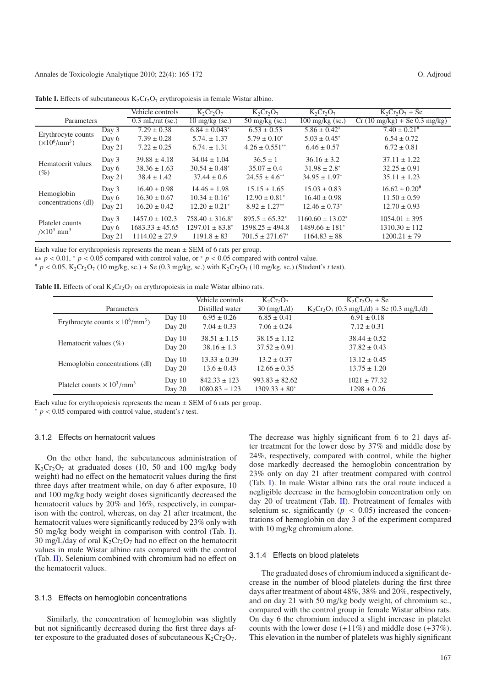<span id="page-2-1"></span>

|                                                           |        | Vehicle controls                      | $K_2Cr_2O_7$             | $K_2Cr_2O_7$             | $K_2Cr_2O_7$                  | $K_2Cr_2O_7 + Se$                              |
|-----------------------------------------------------------|--------|---------------------------------------|--------------------------|--------------------------|-------------------------------|------------------------------------------------|
| Parameters                                                |        | $\overline{0.3 \text{ mL}}$ rat (sc.) | $10 \text{ mg/kg}$ (sc.) | $50 \text{ mg/kg}$ (sc.) | $100 \text{ mg/kg}$ (sc.)     | $Cr(10 \text{ mg/kg}) + Se(0.3 \text{ mg/kg})$ |
| Erythrocyte counts<br>$(\times 10^6/\text{mm}^3)$         | Day 3  | $7.29 \pm 0.38$                       | $6.84 \pm 0.043^*$       | $6.53 \pm 0.53$          | $5.86 \pm 0.42^*$             | $7.40 \pm 0.21$ #                              |
|                                                           | Day 6  | $7.39 \pm 0.28$                       | $5.74. \pm 1.37$         | $5.79 \pm 0.10^*$        | $5.03 \pm 0.45^*$             | $6.54 \pm 0.72$                                |
|                                                           | Day 21 | $7.22 \pm 0.25$                       | $6.74 \pm 1.31$          | $4.26 \pm 0.551$ **      | $6.46 \pm 0.57$               | $6.72 \pm 0.81$                                |
| Hematocrit values<br>(%)                                  | Day 3  | $39.88 \pm 4.18$                      | $34.04 \pm 1.04$         | $36.5 \pm 1$             | $36.16 \pm 3.2$               | $37.11 \pm 1.22$                               |
|                                                           | Day 6  | $38.36 \pm 1.63$                      | $30.54 \pm 0.48^*$       | $35.07 \pm 0.4$          | $31.98 \pm 2.8^*$             | $32.25 \pm 0.91$                               |
|                                                           | Day 21 | $38.4 \pm 1.42$                       | $37.44 \pm 0.6$          | $24.55 \pm 4.6^{**}$     | $34.95 \pm 1.97^*$            | $35.11 \pm 1.23$                               |
| Hemoglobin<br>concentrations (dl)                         | Day 3  | $16.40 \pm 0.98$                      | $14.46 \pm 1.98$         | $15.15 \pm 1.65$         | $15.03 \pm 0.83$              | $16.62 \pm 0.20^{\text{*}}$                    |
|                                                           | Day 6  | $16.30 \pm 0.67$                      | $10.34 \pm 0.16^*$       | $12.90 \pm 0.81^*$       | $16.40 \pm 0.98$              | $11.50 \pm 0.59$                               |
|                                                           | Day 21 | $16.20 \pm 0.42$                      | $12.20 \pm 0.21^*$       | $8.92 \pm 1.27**$        | $12.46 \pm 0.73$ <sup>*</sup> | $12.70 \pm 0.93$                               |
| Platelet counts<br>$\frac{1}{\times}10^3$ mm <sup>3</sup> | Day 3  | $1457.0 \pm 102.3$                    | $758.40 \pm 316.8^*$     | $895.5 \pm 65.32^*$      | $1160.60 \pm 13.02^*$         | $1054.01 \pm 395$                              |
|                                                           | Day 6  | $1683.33 \pm 45.65$                   | $1297.01 \pm 83.8^*$     | $1598.25 \pm 494.8$      | $1489.66 \pm 181^*$           | $1310.30 \pm 112$                              |
|                                                           | Day 21 | $1114.02 \pm 27.9$                    | $1191.8 \pm 83$          | $701.5 \pm 271.67^*$     | $1164.83 \pm 88$              | $1200.21 \pm 79$                               |

<span id="page-2-0"></span>**Table I.** Effects of subcutaneous  $K_2Cr_2O_7$  erythropoiesis in female Wistar albino.

Each value for erythropoiesis represents the mean  $\pm$  SEM of 6 rats per group.<br>\*\*  $p < 0.01$ , \*  $p < 0.05$  compared with control value, or \*  $p < 0.05$  compared with control value.

 $p < 0.05$ , K<sub>2</sub>Cr<sub>2</sub>O<sub>7</sub> (10 mg/kg, sc.) + Se (0.3 mg/kg, sc.) with K<sub>2</sub>Cr<sub>2</sub>O<sub>7</sub> (10 mg/kg, sc.) (Student's t test).

|                                                |          | Vehicle controls  | $K_2Cr_2O_7$          | $K_2Cr_2O_7 + Se$                           |
|------------------------------------------------|----------|-------------------|-----------------------|---------------------------------------------|
| Parameters                                     |          | Distilled water   | $30 \text{ (mg/L/d)}$ | $K_2Cr_2O_7$ (0.3 mg/L/d) + Se (0.3 mg/L/d) |
| Erythrocyte counts $\times 10^6/\text{mm}^3$ ) | Day $10$ | $6.95 \pm 0.26$   | $6.85 \pm 0.41$       | $6.91 \pm 0.18$                             |
|                                                | Day 20   | $7.04 \pm 0.33$   | $7.06 \pm 0.24$       | $7.12 \pm 0.31$                             |
| Hematocrit values $(\% )$                      | Day $10$ | $38.51 \pm 1.15$  | $38.15 \pm 1.12$      | $38.44 \pm 0.52$                            |
|                                                | Day 20   | $38.16 \pm 1.3$   | $37.52 \pm 0.91$      | $37.82 \pm 0.43$                            |
| Hemoglobin concentrations (dl)                 | Day $10$ | $13.33 \pm 0.39$  | $13.2 \pm 0.37$       | $13.12 \pm 0.45$                            |
|                                                | Day 20   | $13.6 \pm 0.43$   | $12.66 \pm 0.35$      | $13.75 \pm 1.20$                            |
| Platelet counts $\times 10^3/\text{mm}^3$      | Day $10$ | $842.33 \pm 123$  | $993.83 \pm 82.62$    | $1021 \pm 77.32$                            |
|                                                | Day 20   | $1080.83 \pm 123$ | $1309.33 \pm 80^*$    | $1298 \pm 0.26$                             |

Each value for erythropoiesis represents the mean <sup>±</sup> SEM of 6 rats per group. <sup>∗</sup> *<sup>p</sup>* <sup>&</sup>lt; <sup>0</sup>.05 compared with control value, student's *<sup>t</sup>* test.

#### 3.1.2 Effects on hematocrit values

On the other hand, the subcutaneous administration of  $K_2Cr_2O_7$  at graduated doses (10, 50 and 100 mg/kg body weight) had no effect on the hematocrit values during the first three days after treatment while, on day 6 after exposure, 10 and 100 mg/kg body weight doses significantly decreased the hematocrit values by 20% and 16%, respectively, in comparison with the control, whereas, on day 21 after treatment, the hematocrit values were significantly reduced by 23% only with 50 mg/kg body weight in comparison with control (Tab. [I\)](#page-2-0). 30 mg/L/day of oral  $K_2Cr_2O_7$  had no effect on the hematocrit values in male Wistar albino rats compared with the control (Tab. [II\)](#page-2-1). Selenium combined with chromium had no effect on the hematocrit values.

#### 3.1.3 Effects on hemoglobin concentrations

Similarly, the concentration of hemoglobin was slightly but not significantly decreased during the first three days after exposure to the graduated doses of subcutaneous  $K_2Cr_2O_7$ . The decrease was highly significant from 6 to 21 days after treatment for the lower dose by 37% and middle dose by 24%, respectively, compared with control, while the higher dose markedly decreased the hemoglobin concentration by 23% only on day 21 after treatment compared with control (Tab. [I\)](#page-2-0). In male Wistar albino rats the oral route induced a negligible decrease in the hemoglobin concentration only on day 20 of treatment (Tab. [II\)](#page-2-1). Pretreatment of females with selenium sc. significantly ( $p < 0.05$ ) increased the concentrations of hemoglobin on day 3 of the experiment compared with 10 mg/kg chromium alone.

#### 3.1.4 Effects on blood platelets

The graduated doses of chromium induced a significant decrease in the number of blood platelets during the first three days after treatment of about 48%, 38% and 20%, respectively, and on day 21 with 50 mg/kg body weight, of chromium sc., compared with the control group in female Wistar albino rats. On day 6 the chromium induced a slight increase in platelet counts with the lower dose  $(+11\%)$  and middle dose  $(+37\%)$ . This elevation in the number of platelets was highly significant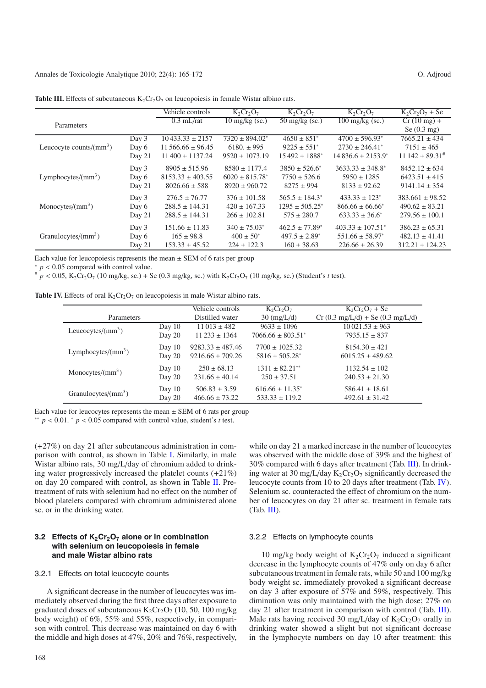<span id="page-3-1"></span>

|                                                |        | Vehicle controls       | $K_2Cr_2O_7$             | $K_2Cr_2O_7$                | $K_2Cr_2O_7$                            | $K_2Cr_2O_7 + Se$               |
|------------------------------------------------|--------|------------------------|--------------------------|-----------------------------|-----------------------------------------|---------------------------------|
| Parameters                                     |        | $0.3$ mL/rat           | $10 \text{ mg/kg}$ (sc.) | $50 \text{ mg/kg}$ (sc.)    | $100 \frac{\text{mg}}{\text{kg}}$ (sc.) | $Cr(10 mg) +$                   |
|                                                |        |                        |                          |                             |                                         | Se $(0.3 \text{ mg})$           |
|                                                | Day 3  | $10433.33 \pm 2157$    | $7320 \pm 894.02^*$      | $4650 \pm 851$ *            | $4700 \pm 596.93^*$                     | $7665.21 \pm 434$               |
| Leucocyte counts/ $\text{(mm}^3)$              | Day 6  | $11\,566.66 \pm 96.45$ | $6180. \pm 995$          | $9225 \pm 551$ <sup>*</sup> | $2730 \pm 246.41^*$                     | $7151 \pm 465$                  |
|                                                | Day 21 | $11\,400 \pm 1137.24$  | $9520 \pm 1073.19$       | $15.492 \pm 1888^*$         | $14836.6 \pm 2153.9^*$                  | $11\,142 \pm 89.31^{\text{\#}}$ |
|                                                | Day 3  | $8905 \pm 515.96$      | $8580 \pm 1177.4$        | $3850 \pm 526.6^*$          | $3633.33 \pm 348.8^*$                   | $8452.12 \pm 634$               |
| Lymphocytes/ $\frac{\text{mm}^3}{\text{mm}^3}$ | Day 6  | $8153.33 \pm 403.55$   | $6020 \pm 815.78^*$      | $7750 \pm 526.6$            | $5950 \pm 1285$                         | $6423.51 \pm 415$               |
|                                                | Day 21 | $8026.66 \pm 588$      | $8920 \pm 960.72$        | $8275 \pm 994$              | $8133 \pm 92.62$                        | $9141.14 \pm 354$               |
|                                                | Day 3  | $276.5 \pm 76.77$      | $376 \pm 101.58$         | $565.5 \pm 184.3^*$         | $433.33 \pm 123^*$                      | $383.661 \pm 98.52$             |
| Monocytes/ $\frac{\text{mm}^3}{\text{mm}^3}$   | Day 6  | $288.5 \pm 144.31$     | $420 \pm 167.33$         | $1295 \pm 505.25^*$         | $866.66 \pm 66.66^*$                    | $490.62 \pm 83.21$              |
|                                                | Day 21 | $288.5 \pm 144.31$     | $266 \pm 102.81$         | $575 \pm 280.7$             | $633.33 \pm 36.6^*$                     | $279.56 \pm 100.1$              |
|                                                | Day 3  | $151.66 \pm 11.83$     | $340 \pm 75.03^*$        | $462.5 \pm 77.89^*$         | $403.33 \pm 107.51^*$                   | $386.23 \pm 65.31$              |
| Granulocytes/ $\text{(mm}^3)$                  | Day 6  | $165 \pm 98.8$         | $400 \pm 50^*$           | $497.5 \pm 2.89^*$          | $551.66 \pm 58.97^*$                    | $482.13 \pm 41.41$              |
|                                                | Day 21 | $153.33 \pm 45.52$     | $224 \pm 122.3$          | $160 \pm 38.63$             | $226.66 \pm 26.39$                      | $312.21 \pm 124.23$             |

<span id="page-3-0"></span>**Table III.** Effects of subcutaneous  $K_2C_7O_7$  on leucopoiesis in female Wistar albino rats.

Each value for leucopoiesis represents the mean  $\pm$  SEM of 6 rats per group \* *p* < 0.05 compared with control value.

 $p < 0.05$ , K<sub>2</sub>Cr<sub>2</sub>O<sub>7</sub> (10 mg/kg, sc.) + Se (0.3 mg/kg, sc.) with K<sub>2</sub>Cr<sub>2</sub>O<sub>7</sub> (10 mg/kg, sc.) (Student's *t* test).

|  |  |  | <b>Table IV.</b> Effects of oral $K_2Cr_2O_7$ on leucopoiesis in male Wistar albino rats. |  |  |  |
|--|--|--|-------------------------------------------------------------------------------------------|--|--|--|
|--|--|--|-------------------------------------------------------------------------------------------|--|--|--|

|                                                |          | Vehicle controls     | $K_2Cr_2O_7$           | $K_2Cr_2O_7 + Se$                 |
|------------------------------------------------|----------|----------------------|------------------------|-----------------------------------|
| Parameters                                     |          | Distilled water      | $30 \text{ (mg/L/d)}$  | $Cr(0.3 mg/L/d) + Se(0.3 mg/L/d)$ |
| Leucocytes/ $\rm (mm^3)$                       | Day $10$ | $11013 \pm 482$      | $9633 \pm 1096$        | $10021.53 \pm 963$                |
|                                                | Day 20   | $11\,233 \pm 1364$   | $7066.66 \pm 803.51^*$ | $7935.15 \pm 837$                 |
| Lymphocytes/ $\frac{\text{mm}^3}{\text{mm}^3}$ | Day $10$ | $9283.33 \pm 487.46$ | $7700 \pm 1025.32$     | $8154.30 \pm 421$                 |
|                                                | Day 20   | $9216.66 \pm 709.26$ | $5816 \pm 505.28^*$    | $6015.25 \pm 489.62$              |
| Monocytes/ $\text{(mm}^3)$                     | Day $10$ | $250 \pm 68.13$      | $1311 \pm 82.21$ **    | $1132.54 \pm 102$                 |
|                                                | Day 20   | $231.66 \pm 40.14$   | $250 \pm 37.51$        | $240.53 \pm 21.30$                |
| Granulocytes/ $\text{(mm}^3)$                  | Day $10$ | $506.83 \pm 3.59$    | $616.66 \pm 11.35^*$   | $586.41 \pm 18.61$                |
|                                                | Day 20   | $466.66 \pm 73.22$   | $533.33 \pm 119.2$     | $492.61 \pm 31.42$                |

Each value for leucocytes represents the mean <sup>±</sup> SEM of 6 rats per group ∗∗ *<sup>p</sup>* <sup>&</sup>lt; <sup>0</sup>.01. <sup>∗</sup> *<sup>p</sup>* <sup>&</sup>lt; <sup>0</sup>.05 compared with control value, student's *<sup>t</sup>* test.

(+27%) on day 21 after subcutaneous administration in comparison with control, as shown in Table [I.](#page-2-0) Similarly, in male Wistar albino rats, 30 mg/L/day of chromium added to drinking water progressively increased the platelet counts (+21%) on day 20 compared with control, as shown in Table [II.](#page-2-1) Pretreatment of rats with selenium had no effect on the number of blood platelets compared with chromium administered alone sc. or in the drinking water.

## **3.2 Effects of K<sub>2</sub>Cr<sub>2</sub>O<sub>7</sub> alone or in combination with selenium on leucopoiesis in female and male Wistar albino rats**

#### 3.2.1 Effects on total leucocyte counts

A significant decrease in the number of leucocytes was immediately observed during the first three days after exposure to graduated doses of subcutaneous  $K_2Cr_2O_7$  (10, 50, 100 mg/kg body weight) of 6%, 55% and 55%, respectively, in comparison with control. This decrease was maintained on day 6 with the middle and high doses at 47%, 20% and 76%, respectively, while on day 21 a marked increase in the number of leucocytes was observed with the middle dose of 39% and the highest of 30% compared with 6 days after treatment (Tab. [III\)](#page-3-0). In drinking water at 30 mg/L/day  $K_2Cr_2O_7$  significantly decreased the leucocyte counts from 10 to 20 days after treatment (Tab. [IV\)](#page-3-1). Selenium sc. counteracted the effect of chromium on the number of leucocytes on day 21 after sc. treatment in female rats (Tab. [III\)](#page-3-0).

#### 3.2.2 Effects on lymphocyte counts

10 mg/kg body weight of  $K_2Cr_2O_7$  induced a significant decrease in the lymphocyte counts of 47% only on day 6 after subcutaneous treatment in female rats, while 50 and 100 mg/kg body weight sc. immediately provoked a significant decrease on day 3 after exposure of 57% and 59%, respectively. This diminution was only maintained with the high dose; 27% on day 21 after treatment in comparison with control (Tab. [III\)](#page-3-0). Male rats having received 30 mg/L/day of  $K_2Cr_2O_7$  orally in drinking water showed a slight but not significant decrease in the lymphocyte numbers on day 10 after treatment: this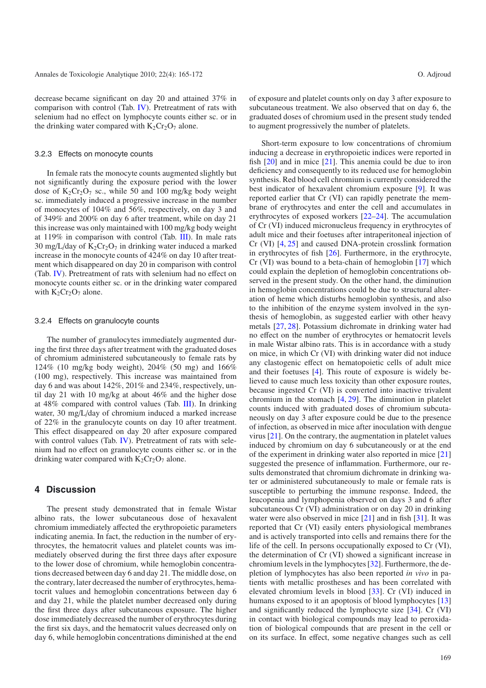decrease became significant on day 20 and attained 37% in comparison with control (Tab. [IV\)](#page-3-1). Pretreatment of rats with selenium had no effect on lymphocyte counts either sc. or in the drinking water compared with  $K_2Cr_2O_7$  alone.

#### 3.2.3 Effects on monocyte counts

In female rats the monocyte counts augmented slightly but not significantly during the exposure period with the lower dose of  $K_2Cr_2O_7$  sc., while 50 and 100 mg/kg body weight sc. immediately induced a progressive increase in the number of monocytes of 104% and 56%, respectively, on day 3 and of 349% and 200% on day 6 after treatment, while on day 21 this increase was only maintained with 100 mg/kg body weight at 119% in comparison with control (Tab. [III\)](#page-3-0). In male rats 30 mg/L/day of  $K_2Cr_2O_7$  in drinking water induced a marked increase in the monocyte counts of 424% on day 10 after treatment which disappeared on day 20 in comparison with control (Tab. [IV\)](#page-3-1). Pretreatment of rats with selenium had no effect on monocyte counts either sc. or in the drinking water compared with  $K_2Cr_2O_7$  alone.

#### 3.2.4 Effects on granulocyte counts

The number of granulocytes immediately augmented during the first three days after treatment with the graduated doses of chromium administered subcutaneously to female rats by 124% (10 mg/kg body weight), 204% (50 mg) and 166% (100 mg), respectively. This increase was maintained from day 6 and was about 142%, 201% and 234%, respectively, until day 21 with 10 mg/kg at about 46% and the higher dose at 48% compared with control values (Tab. [III\)](#page-3-0). In drinking water, 30 mg/L/day of chromium induced a marked increase of 22% in the granulocyte counts on day 10 after treatment. This effect disappeared on day 20 after exposure compared with control values (Tab. [IV\)](#page-3-1). Pretreatment of rats with selenium had no effect on granulocyte counts either sc. or in the drinking water compared with  $K_2Cr_2O_7$  alone.

# **4 Discussion**

The present study demonstrated that in female Wistar albino rats, the lower subcutaneous dose of hexavalent chromium immediately affected the erythropoietic parameters indicating anemia. In fact, the reduction in the number of erythrocytes, the hematocrit values and platelet counts was immediately observed during the first three days after exposure to the lower dose of chromium, while hemoglobin concentrations decreased between day 6 and day 21. The middle dose, on the contrary, later decreased the number of erythrocytes, hematocrit values and hemoglobin concentrations between day 6 and day 21, while the platelet number decreased only during the first three days after subcutaneous exposure. The higher dose immediately decreased the number of erythrocytes during the first six days, and the hematocrit values decreased only on day 6, while hemoglobin concentrations diminished at the end of exposure and platelet counts only on day 3 after exposure to subcutaneous treatment. We also observed that on day 6, the graduated doses of chromium used in the present study tended to augment progressively the number of platelets.

Short-term exposure to low concentrations of chromium inducing a decrease in erythropoietic indices were reported in fish  $[20]$  and in mice  $[21]$ . This anemia could be due to iron deficiency and consequently to its reduced use for hemoglobin synthesis. Red blood cell chromium is currently considered the best indicator of hexavalent chromium exposure [\[9](#page-6-1)]. It was reported earlier that Cr (VI) can rapidly penetrate the membrane of erythrocytes and enter the cell and accumulates in erythrocytes of exposed workers [\[22](#page-6-12)[–24\]](#page-6-13). The accumulation of Cr (VI) induced micronucleus frequency in erythrocytes of adult mice and their foetuses after intraperitoneal injection of Cr (VI) [\[4,](#page-5-6) [25](#page-6-14)] and caused DNA-protein crosslink formation in erythrocytes of fish [\[26\]](#page-6-15). Furthermore, in the erythrocyte, Cr (VI) was bound to a beta-chain of hemoglobin [\[17](#page-6-7)] which could explain the depletion of hemoglobin concentrations observed in the present study. On the other hand, the diminution in hemoglobin concentrations could be due to structural alteration of heme which disturbs hemoglobin synthesis, and also to the inhibition of the enzyme system involved in the synthesis of hemoglobin, as suggested earlier with other heavy metals [\[27](#page-6-16), [28\]](#page-6-17). Potassium dichromate in drinking water had no effect on the number of erythrocytes or hematocrit levels in male Wistar albino rats. This is in accordance with a study on mice, in which Cr (VI) with drinking water did not induce any clastogenic effect on hematopoietic cells of adult mice and their foetuses [\[4\]](#page-5-6). This route of exposure is widely believed to cause much less toxicity than other exposure routes, because ingested Cr (VI) is converted into inactive trivalent chromium in the stomach [\[4](#page-5-6), [29\]](#page-6-18). The diminution in platelet counts induced with graduated doses of chromium subcutaneously on day 3 after exposure could be due to the presence of infection, as observed in mice after inoculation with dengue virus [\[21\]](#page-6-11). On the contrary, the augmentation in platelet values induced by chromium on day 6 subcutaneously or at the end of the experiment in drinking water also reported in mice [\[21\]](#page-6-11) suggested the presence of inflammation. Furthermore, our results demonstrated that chromium dichromate in drinking water or administered subcutaneously to male or female rats is susceptible to perturbing the immune response. Indeed, the leucopenia and lymphopenia observed on days 3 and 6 after subcutaneous Cr (VI) administration or on day 20 in drinking water were also observed in mice [\[21\]](#page-6-11) and in fish [\[31\]](#page-6-19). It was reported that Cr (VI) easily enters physiological membranes and is actively transported into cells and remains there for the life of the cell. In persons occupationally exposed to Cr (VI), the determination of Cr (VI) showed a significant increase in chromium levels in the lymphocytes [\[32\]](#page-6-20). Furthermore, the depletion of lymphocytes has also been reported *in vivo* in patients with metallic prostheses and has been correlated with elevated chromium levels in blood [\[33](#page-6-21)]. Cr (VI) induced in humans exposed to it an apoptosis of blood lymphocytes [\[13\]](#page-6-5) and significantly reduced the lymphocyte size [\[34](#page-6-22)]. Cr (VI) in contact with biological compounds may lead to peroxidation of biological compounds that are present in the cell or on its surface. In effect, some negative changes such as cell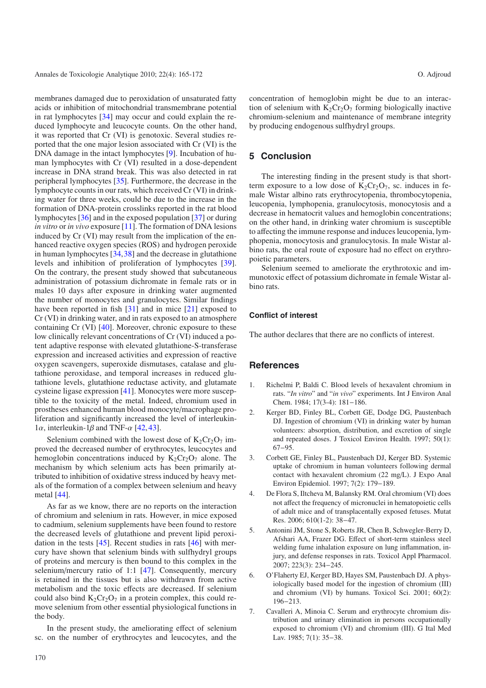membranes damaged due to peroxidation of unsaturated fatty acids or inhibition of mitochondrial transmembrane potential in rat lymphocytes [\[34\]](#page-6-22) may occur and could explain the reduced lymphocyte and leucocyte counts. On the other hand, it was reported that Cr (VI) is genotoxic. Several studies reported that the one major lesion associated with Cr (VI) is the DNA damage in the intact lymphocytes [\[9\]](#page-6-1). Incubation of human lymphocytes with Cr (VI) resulted in a dose-dependent increase in DNA strand break. This was also detected in rat peripheral lymphocytes [\[35](#page-6-23)]. Furthermore, the decrease in the lymphocyte counts in our rats, which received Cr (VI) in drinking water for three weeks, could be due to the increase in the formation of DNA-protein crosslinks reported in the rat blood lymphocytes [\[36\]](#page-6-24) and in the exposed population [\[37\]](#page-6-25) or during *in vitro* or *in vivo* exposure [\[11](#page-6-3)]. The formation of DNA lesions induced by Cr (VI) may result from the implication of the enhanced reactive oxygen species (ROS) and hydrogen peroxide in human lymphocytes [\[34](#page-6-22),[38\]](#page-6-26) and the decrease in glutathione levels and inhibition of proliferation of lymphocytes [\[39](#page-6-27)]. On the contrary, the present study showed that subcutaneous administration of potassium dichromate in female rats or in males 10 days after exposure in drinking water augmented the number of monocytes and granulocytes. Similar findings have been reported in fish [\[31\]](#page-6-19) and in mice [\[21](#page-6-11)] exposed to Cr (VI) in drinking water, and in rats exposed to an atmosphere containing Cr (VI) [\[40](#page-7-0)]. Moreover, chronic exposure to these low clinically relevant concentrations of Cr (VI) induced a potent adaptive response with elevated glutathione-S-transferase expression and increased activities and expression of reactive oxygen scavengers, superoxide dismutases, catalase and glutathione peroxidase, and temporal increases in reduced glutathione levels, glutathione reductase activity, and glutamate cysteine ligase expression [\[41\]](#page-7-1). Monocytes were more susceptible to the toxicity of the metal. Indeed, chromium used in prostheses enhanced human blood monocyte/macrophage proliferation and significantly increased the level of interleukin-1α, interleukin-1β and TNF- $\alpha$  [\[42](#page-7-2), [43\]](#page-7-3).

Selenium combined with the lowest dose of  $K_2Cr_2O_7$  improved the decreased number of erythrocytes, leucocytes and hemoglobin concentrations induced by  $K_2Cr_2O_7$  alone. The mechanism by which selenium acts has been primarily attributed to inhibition of oxidative stress induced by heavy metals of the formation of a complex between selenium and heavy metal [\[44\]](#page-7-4).

As far as we know, there are no reports on the interaction of chromium and selenium in rats. However, in mice exposed to cadmium, selenium supplements have been found to restore the decreased levels of glutathione and prevent lipid peroxidation in the tests [\[45](#page-7-5)]. Recent studies in rats [\[46\]](#page-7-6) with mercury have shown that selenium binds with sulfhydryl groups of proteins and mercury is then bound to this complex in the selenium/mercury ratio of 1:1 [\[47](#page-7-7)]. Consequently, mercury is retained in the tissues but is also withdrawn from active metabolism and the toxic effects are decreased. If selenium could also bind  $K_2Cr_2O_7$  in a protein complex, this could remove selenium from other essential physiological functions in the body.

In the present study, the ameliorating effect of selenium sc. on the number of erythrocytes and leucocytes, and the concentration of hemoglobin might be due to an interaction of selenium with  $K_2Cr_2O_7$  forming biologically inactive chromium-selenium and maintenance of membrane integrity by producing endogenous sulfhydryl groups.

# **5 Conclusion**

The interesting finding in the present study is that shortterm exposure to a low dose of  $K_2Cr_2O_7$ , sc. induces in female Wistar albino rats erythrocytopenia, thrombocytopenia, leucopenia, lymphopenia, granulocytosis, monocytosis and a decrease in hematocrit values and hemoglobin concentrations; on the other hand, in drinking water chromium is susceptible to affecting the immune response and induces leucopenia, lymphopenia, monocytosis and granulocytosis. In male Wistar albino rats, the oral route of exposure had no effect on erythropoietic parameters.

Selenium seemed to ameliorate the erythrotoxic and immunotoxic effect of potassium dichromate in female Wistar albino rats.

# **Conflict of interest**

The author declares that there are no conflicts of interest.

# **References**

- <span id="page-5-0"></span>1. Richelmi P, Baldi C. Blood levels of hexavalent chromium in rats. "*In vitro*" and "*in vivo*" experiments. Int J Environ Anal Chem. 1984; 17(3-4): 181−186.
- <span id="page-5-1"></span>2. Kerger BD, Finley BL, Corbett GE, Dodge DG, Paustenbach DJ. Ingestion of chromium (VI) in drinking water by human volunteers: absorption, distribution, and excretion of single and repeated doses. J Toxicol Environ Health. 1997; 50(1): 67−95.
- <span id="page-5-2"></span>3. Corbett GE, Finley BL, Paustenbach DJ, Kerger BD. Systemic uptake of chromium in human volunteers following dermal contact with hexavalent chromium (22 mg/L). J Expo Anal Environ Epidemiol. 1997; 7(2): 179−189.
- <span id="page-5-6"></span>4. De Flora S, Iltcheva M, Balansky RM. Oral chromium (VI) does not affect the frequency of micronuclei in hematopoietic cells of adult mice and of transplacentally exposed fetuses. Mutat Res. 2006; 610(1-2): 38−47.
- <span id="page-5-3"></span>5. Antonini JM, Stone S, Roberts JR, Chen B, Schwegler-Berry D, Afshari AA, Frazer DG. Effect of short-term stainless steel welding fume inhalation exposure on lung inflammation, injury, and defense responses in rats. Toxicol Appl Pharmacol. 2007; 223(3): 234−245.
- <span id="page-5-4"></span>6. O'Flaherty EJ, Kerger BD, Hayes SM, Paustenbach DJ. A physiologically based model for the ingestion of chromium (III) and chromium (VI) by humans. Toxicol Sci. 2001; 60(2): 196−213.
- <span id="page-5-5"></span>7. Cavalleri A, Minoia C. Serum and erythrocyte chromium distribution and urinary elimination in persons occupationally exposed to chromium (VI) and chromium (III). G Ital Med Lav. 1985; 7(1): 35−38.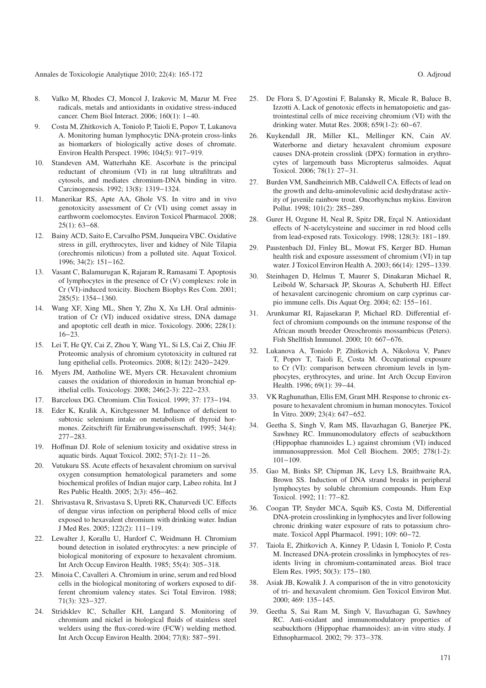Annales de Toxicologie Analytique 2010; 22(4): 165-172 O. Adjroud

- <span id="page-6-0"></span>8. Valko M, Rhodes CJ, Moncol J, Izakovic M, Mazur M. Free radicals, metals and antioxidants in oxidative stress-induced cancer. Chem Biol Interact. 2006; 160(1): 1−40.
- <span id="page-6-1"></span>9. Costa M, Zhitkovich A, Toniolo P, Taioli E, Popov T, Lukanova A. Monitoring human lymphocytic DNA-protein cross-links as biomarkers of biologically active doses of chromate. Environ Health Perspect. 1996; 104(5): 917−919.
- <span id="page-6-2"></span>10. Standeven AM, Watterhahn KE. Ascorbate is the principal reductant of chromium (VI) in rat lung ultrafiltrats and cytosols, and mediates chromium-DNA binding in vitro. Carcinogenesis. 1992; 13(8): 1319−1324.
- <span id="page-6-3"></span>11. Manerikar RS, Apte AA, Ghole VS. In vitro and in vivo genotoxicity assessment of Cr (VI) using comet assay in earthworm coelomocytes. Environ Toxicol Pharmacol. 2008; 25(1): 63−68.
- <span id="page-6-4"></span>12. Bainy ACD, Saito E, Carvalho PSM, Junqueira VBC. Oxidative stress in gill, erythrocytes, liver and kidney of Nile Tilapia (orechromis niloticus) from a polluted site. Aquat Toxicol. 1996; 34(2): 151−162.
- <span id="page-6-5"></span>13. Vasant C, Balamurugan K, Rajaram R, Ramasami T. Apoptosis of lymphocytes in the presence of Cr (V) complexes: role in Cr (VI)-induced toxicity. Biochem Biophys Res Com. 2001; 285(5): 1354−1360.
- 14. Wang XF, Xing ML, Shen Y, Zhu X, Xu LH. Oral administration of Cr (VI) induced oxidative stress, DNA damage and apoptotic cell death in mice. Toxicology. 2006; 228(1): 16−23.
- <span id="page-6-6"></span>15. Lei T, He QY, Cai Z, Zhou Y, Wang YL, Si LS, Cai Z, Chiu JF. Proteomic analysis of chromium cytotoxicity in cultured rat lung epithelial cells. Proteomics. 2008; 8(12): 2420−2429.
- 16. Myers JM, Antholine WE, Myers CR. Hexavalent chromium causes the oxidation of thioredoxin in human bronchial epithelial cells. Toxicology. 2008; 246(2-3): 222−233.
- <span id="page-6-7"></span>17. Barceloux DG. Chromium. Clin Toxicol. 1999; 37: 173−194.
- <span id="page-6-8"></span>18. Eder K, Kralik A, Kirchgessner M. Influence of deficient to subtoxic selenium intake on metabolism of thyroid hormones. Zeitschrift für Ernährungswissenschaft. 1995; 34(4): 277−283.
- <span id="page-6-9"></span>19. Hoffman DJ. Role of selenium toxicity and oxidative stress in aquatic birds. Aquat Toxicol. 2002; 57(1-2): 11−26.
- <span id="page-6-10"></span>20. Vutukuru SS. Acute effects of hexavalent chromium on survival oxygen consumption hematological parameters and some biochemical profiles of Indian major carp, Labeo rohita. Int J Res Public Health. 2005; 2(3): 456−462.
- <span id="page-6-11"></span>21. Shrivastava R, Srivastava S, Upreti RK, Chaturvedi UC. Effects of dengue virus infection on peripheral blood cells of mice exposed to hexavalent chromium with drinking water. Indian J Med Res. 2005; 122(2): 111−119.
- <span id="page-6-12"></span>22. Lewalter J, Korallu U, Hardorf C, Weidmann H. Chromium bound detection in isolated erythrocytes: a new principle of biological monitoring of exposure to hexavalent chromium. Int Arch Occup Environ Health. 1985; 55(4): 305−318.
- 23. Minoia C, Cavalleri A. Chromium in urine, serum and red blood cells in the biological monitoring of workers exposed to different chromium valency states. Sci Total Environ. 1988; 71(3): 323−327.
- <span id="page-6-13"></span>24. Stridsklev IC, Schaller KH, Langard S. Monitoring of chromium and nickel in biological fluids of stainless steel welders using the flux-cored-wire (FCW) welding method. Int Arch Occup Environ Health. 2004; 77(8): 587−591.
- <span id="page-6-14"></span>25. De Flora S, D'Agostini F, Balansky R, Micale R, Baluce B, Izzotti A. Lack of genotoxic effects in hematopoietic and gastrointestinal cells of mice receiving chromium (VI) with the drinking water. Mutat Res. 2008; 659(1-2): 60−67.
- <span id="page-6-15"></span>26. Kuykendall JR, Miller KL, Mellinger KN, Cain AV. Waterborne and dietary hexavalent chromium exposure causes DNA-protein crosslink (DPX) formation in erythrocytes of largemouth bass Micropterus salmoides. Aquat Toxicol. 2006; 78(1): 27−31.
- <span id="page-6-16"></span>27. Burden VM, Sandheinrich MB, Caldwell CA. Effects of lead on the growth and delta-aminolevulinic acid deshydratase activity of juvenile rainbow trout. Oncorhynchus mykiss. Environ Pollut. 1998; 101(2): 285−289.
- <span id="page-6-17"></span>28. Gurer H, Ozgune H, Neal R, Spitz DR, Erçal N. Antioxidant effects of N-acetylcysteine and succimer in red blood cells from lead-exposed rats. Toxicology. 1998; 128(3): 181−189.
- <span id="page-6-18"></span>29. Paustenbach DJ, Finley BL, Mowat FS, Kerger BD. Human health risk and exposure assessment of chromium (VI) in tap water. J Toxicol Environ Health A. 2003; 66(14): 1295−1339.
- 30. Steinhagen D, Helmus T, Maurer S, Dinakaran Michael R, Leibold W, Scharsack JP, Skouras A, Schuberth HJ. Effect of hexavalent carcinogenic chromium on carp cyprinus carpio immune cells. Dis Aquat Org. 2004; 62: 155−161.
- <span id="page-6-19"></span>31. Arunkumar RI, Rajasekaran P, Michael RD. Differential effect of chromium compounds on the immune response of the African mouth breeder Oreochromis mossambicus (Peters). Fish Shellfish Immunol. 2000; 10: 667−676.
- <span id="page-6-20"></span>32. Lukanova A, Toniolo P, Zhitkovich A, Nikolova V, Panev T, Popov T, Taioli E, Costa M. Occupational exposure to Cr (VI): comparison between chromium levels in lymphocytes, erythrocytes, and urine. Int Arch Occup Environ Health. 1996; 69(1): 39−44.
- <span id="page-6-21"></span>33. VK Raghunathan, Ellis EM, Grant MH. Response to chronic exposure to hexavalent chromium in human monocytes. Toxicol In Vitro. 2009; 23(4): 647−652.
- <span id="page-6-22"></span>34. Geetha S, Singh V, Ram MS, IIavazhagan G, Banerjee PK, Sawhney RC. Immunomodulatory effects of seabuckthorn (Hippophae rhamnoides L.) against chromium (VI) induced immunosuppression. Mol Cell Biochem. 2005; 278(1-2): 101−109.
- <span id="page-6-23"></span>35. Gao M, Binks SP, Chipman JK, Levy LS, Braithwaite RA, Brown SS. Induction of DNA strand breaks in peripheral lymphocytes by soluble chromium compounds. Hum Exp Toxicol. 1992; 11: 77−82.
- <span id="page-6-24"></span>36. Coogan TP, Snyder MCA, Squib KS, Costa M, Differential DNA-protein crosslinking in lymphocytes and liver following chronic drinking water exposure of rats to potassium chromate. Toxicol Appl Pharmacol. 1991; 109: 60−72.
- <span id="page-6-25"></span>37. Taiola E, Zhitkovich A, Kinney P, Udasin I, Toniolo P, Costa M. Increased DNA-protein crosslinks in lymphocytes of residents living in chromium-contaminated areas. Biol trace Elem Res. 1995; 50(3): 175−180.
- <span id="page-6-26"></span>38. Asiak JB, Kowalik J. A comparison of the in vitro genotoxicity of tri- and hexavalent chromium. Gen Toxicol Environ Mut. 2000; 469: 135−145.
- <span id="page-6-27"></span>39. Geetha S, Sai Ram M, Singh V, Ilavazhagan G, Sawhney RC. Anti-oxidant and immunomodulatory properties of seabuckthorn (Hippophae rhamnoides): an-in vitro study. J Ethnopharmacol. 2002; 79: 373−378.